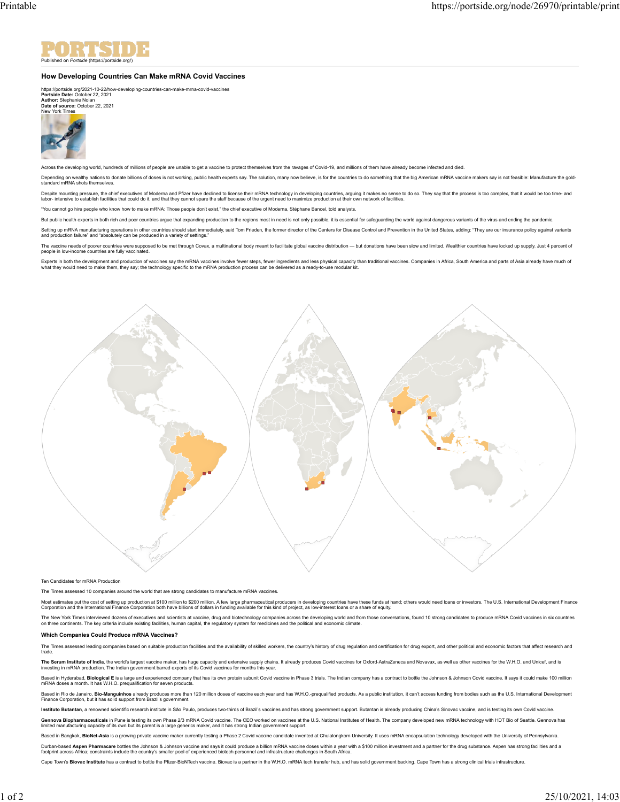

## **How Developing Countries Can Make mRNA Covid Vaccines**

https://portside.org/2021-10-22/how-developing-countries-can-make-mrna-covid-vaccines **Portside Date:** October 22, 2021 **Author:** Stephanie Nolan



Across the developing world, hundreds of millions of people are unable to get a vaccine to protect themselves from the ravages of Covid-19, and millions of them have already become infected and died.

Depending on wealthy nations to donate billions of doses is not working, public health experts say. The solution, many now believe, is for the countries to do something that the big American mRNA vaccine makers say is not standard mRNA shots themselves.

Despite mounting pressure, the chief executives of Moderna and Prizer have declined to license their mRNA technology in developing countries, arguing it makes no sense to do so. They say that the process is too complex, th

"You cannot go hire people who know how to make mRNA: Those people don't exist," the chief executive of Moderna, Stéphane Bancel, told analysts.

But public health experts in both rich and poor countries argue that expanding production to the regions most in need is not only possible, it is essential for safeguarding the world against dangerous variants of the virus

Setting up mRNA manufacturing operations in other countries should start immediately, said Tom Frieden, the former director of the Centers for Disease Control and Prevention in the United States, adding: "They are our insu

The vaccine needs of poorer countries were supposed to be met through Covax, a multinational body meant to facilitate global vaccine distribution — but donations have been slow and limited. Wealthier countries have locked

Experts in both the development and production of vaccines say the mRNA vaccines involve fewer steps, fewer inqedients and less physical capacity than traditional vaccines. Companies in Africa, South America and parts of A



Ten Candidates for mRNA Production

The Times assessed 10 companies around the world that are strong candidates to manufacture mRNA vaccines.

Most estimates put the cost of setting up production at \$100 million to \$200 million. A few large pharmaceutical producers in developing countries have these funds at hand: others would need loans or investors. The U.S. In

The New York Times interviewed dozens of executives and scientists at vaccine, drug and biotechnology companies across the developing world and from those conversations, found 10 strong candidates to produce mRNA Covid vac

## **Which Companies Could Produce mRNA Vaccines?**

The Times assessed leading companies based on suitable production facilities and the availability of skilled workers, the country's history of drug requlation and certification for drug export, and other political and econ trade.

The Serum Institute of India, the worlds largest vaccine maker, has huge capacity and extensive supply chains. It already produces Covid vaccines for Oxford-AstraZeneca and Novavax, as well as other vaccines for the W.H.O.

Based in Hyderabat, Biological E is alarge and experienced company that has its own protein subunit Covid vaccine in Phase 3 trials. The Indian company has a contract to bottle the Johnson & Johnson Covid vaccine. It says

Based in Rio de Janeiro, Bio-Manguinhos already produces more than 120 million doses of vaccine each year and has W.H.O.-prequalified products. As a public institution, it can't access funding from bodies such as the U.S.

Instituto Butantan, a renowned scientific research institute in São Paulo, produces two-thirds of Brazil's vaccines and has strong government support. Butantan is already producing China's Sinovac vaccine, and is testing i

Gennova Biopharmaceuticals in Pune is testing its own Phase 2/3 mRNA Covid vaccine. The CEO worked on vaccines at the U.S. National Institutes of Health. The company developed new mRNA technology with HDT Bio of Seattle. G limited manufacturing capacity of its own but its parent is a large generics maker, and it has strong Indian government support.

Based in Bangkok, BioNet-Asia is a growing private vaccine maker currently testing a Phase 2 Covid vaccine candidate invented at Chulalongkorn University. It uses mRNA encapsulation technology developed with the University Durban-base**d Aspen Pharmacare** bottles the Johnson & Johnson vaccine and say it could produce a billion mRNA vaccine doses within a year with a \$100 million investment and a partner for the drug substance. Aspen has stron

Cape Town's Biovac Institute has a contract to bottle the Pfizer-BioNTech vaccine. Biovac is a partner in the W.H.O. mRNA tech transfer hub, and has solid government backing. Cape Town has a strong clinical trials infrastr